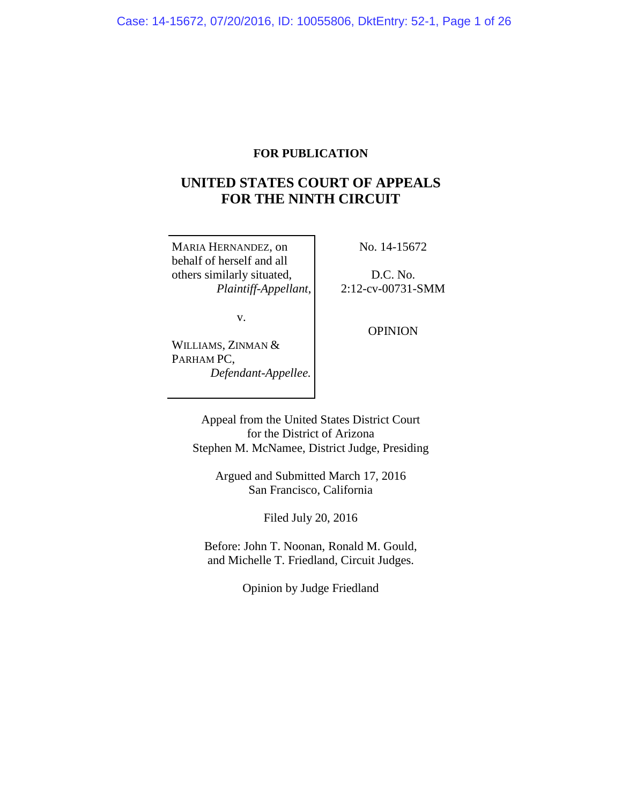# **FOR PUBLICATION**

# **UNITED STATES COURT OF APPEALS FOR THE NINTH CIRCUIT**

MARIA HERNANDEZ, on behalf of herself and all others similarly situated, *Plaintiff-Appellant*, No. 14-15672

D.C. No. 2:12-cv-00731-SMM

v.

WILLIAMS, ZINMAN & PARHAM PC, *Defendant-Appellee.* OPINION

Appeal from the United States District Court for the District of Arizona Stephen M. McNamee, District Judge, Presiding

Argued and Submitted March 17, 2016 San Francisco, California

Filed July 20, 2016

Before: John T. Noonan, Ronald M. Gould, and Michelle T. Friedland, Circuit Judges.

Opinion by Judge Friedland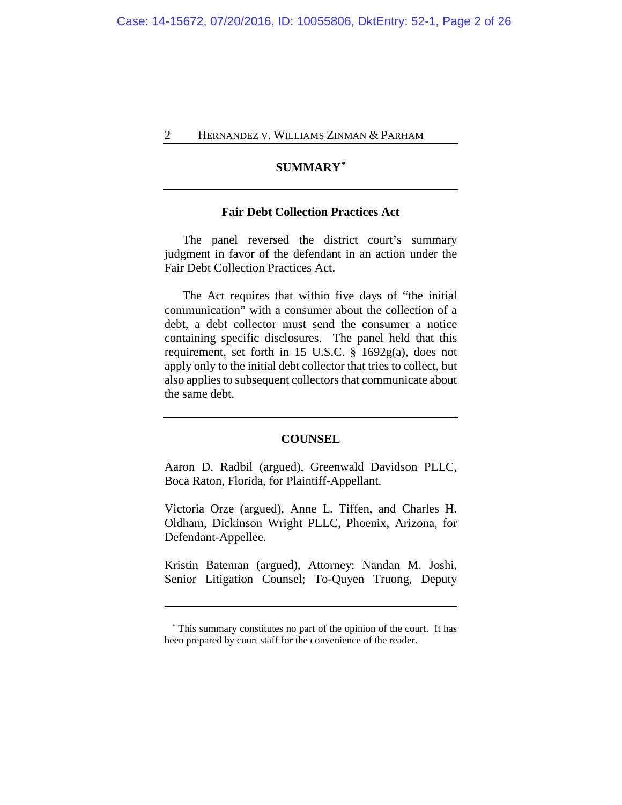# **SUMMARY[\\*](#page-1-0)**

#### **Fair Debt Collection Practices Act**

The panel reversed the district court's summary judgment in favor of the defendant in an action under the Fair Debt Collection Practices Act.

The Act requires that within five days of "the initial communication" with a consumer about the collection of a debt, a debt collector must send the consumer a notice containing specific disclosures. The panel held that this requirement, set forth in 15 U.S.C. § 1692g(a), does not apply only to the initial debt collector that tries to collect, but also applies to subsequent collectors that communicate about the same debt.

#### **COUNSEL**

Aaron D. Radbil (argued), Greenwald Davidson PLLC, Boca Raton, Florida, for Plaintiff-Appellant.

Victoria Orze (argued), Anne L. Tiffen, and Charles H. Oldham, Dickinson Wright PLLC, Phoenix, Arizona, for Defendant-Appellee.

Kristin Bateman (argued), Attorney; Nandan M. Joshi, Senior Litigation Counsel; To-Quyen Truong, Deputy

<span id="page-1-0"></span> <sup>\*</sup> This summary constitutes no part of the opinion of the court. It has been prepared by court staff for the convenience of the reader.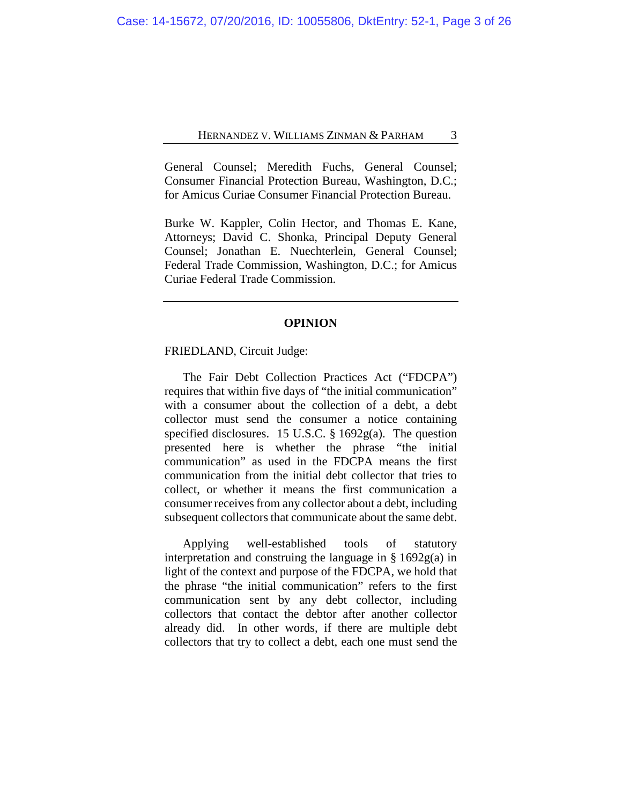General Counsel; Meredith Fuchs, General Counsel; Consumer Financial Protection Bureau, Washington, D.C.; for Amicus Curiae Consumer Financial Protection Bureau.

Burke W. Kappler, Colin Hector, and Thomas E. Kane, Attorneys; David C. Shonka, Principal Deputy General Counsel; Jonathan E. Nuechterlein, General Counsel; Federal Trade Commission, Washington, D.C.; for Amicus Curiae Federal Trade Commission.

#### **OPINION**

## FRIEDLAND, Circuit Judge:

The Fair Debt Collection Practices Act ("FDCPA") requires that within five days of "the initial communication" with a consumer about the collection of a debt, a debt collector must send the consumer a notice containing specified disclosures. 15 U.S.C. § 1692g(a). The question presented here is whether the phrase "the initial communication" as used in the FDCPA means the first communication from the initial debt collector that tries to collect, or whether it means the first communication a consumer receives from any collector about a debt, including subsequent collectors that communicate about the same debt.

Applying well-established tools of statutory interpretation and construing the language in § 1692g(a) in light of the context and purpose of the FDCPA, we hold that the phrase "the initial communication" refers to the first communication sent by any debt collector, including collectors that contact the debtor after another collector already did. In other words, if there are multiple debt collectors that try to collect a debt, each one must send the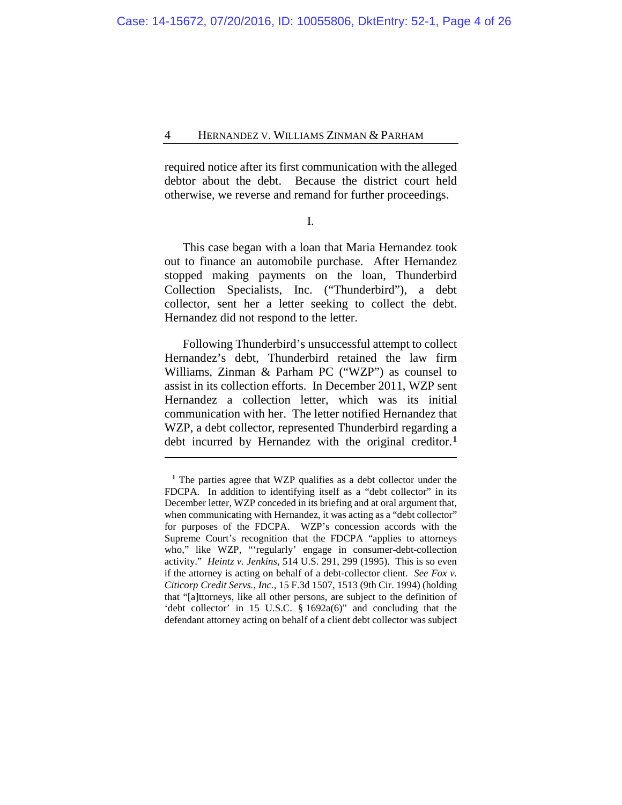required notice after its first communication with the alleged debtor about the debt. Because the district court held otherwise, we reverse and remand for further proceedings.

I.

This case began with a loan that Maria Hernandez took out to finance an automobile purchase. After Hernandez stopped making payments on the loan, Thunderbird Collection Specialists, Inc. ("Thunderbird"), a debt collector, sent her a letter seeking to collect the debt. Hernandez did not respond to the letter.

Following Thunderbird's unsuccessful attempt to collect Hernandez's debt, Thunderbird retained the law firm Williams, Zinman & Parham PC ("WZP") as counsel to assist in its collection efforts. In December 2011, WZP sent Hernandez a collection letter, which was its initial communication with her. The letter notified Hernandez that WZP, a debt collector, represented Thunderbird regarding a debt incurred by Hernandez with the original creditor.**[1](#page-3-0)**

<span id="page-3-0"></span>**<sup>1</sup>** The parties agree that WZP qualifies as a debt collector under the FDCPA. In addition to identifying itself as a "debt collector" in its December letter, WZP conceded in its briefing and at oral argument that, when communicating with Hernandez, it was acting as a "debt collector" for purposes of the FDCPA. WZP's concession accords with the Supreme Court's recognition that the FDCPA "applies to attorneys who," like WZP, "'regularly' engage in consumer-debt-collection activity." *Heintz v. Jenkins*, 514 U.S. 291, 299 (1995). This is so even if the attorney is acting on behalf of a debt-collector client. *See Fox v. Citicorp Credit Servs., Inc.*, 15 F.3d 1507, 1513 (9th Cir. 1994) (holding that "[a]ttorneys, like all other persons, are subject to the definition of 'debt collector' in 15 U.S.C. § 1692a(6)" and concluding that the defendant attorney acting on behalf of a client debt collector was subject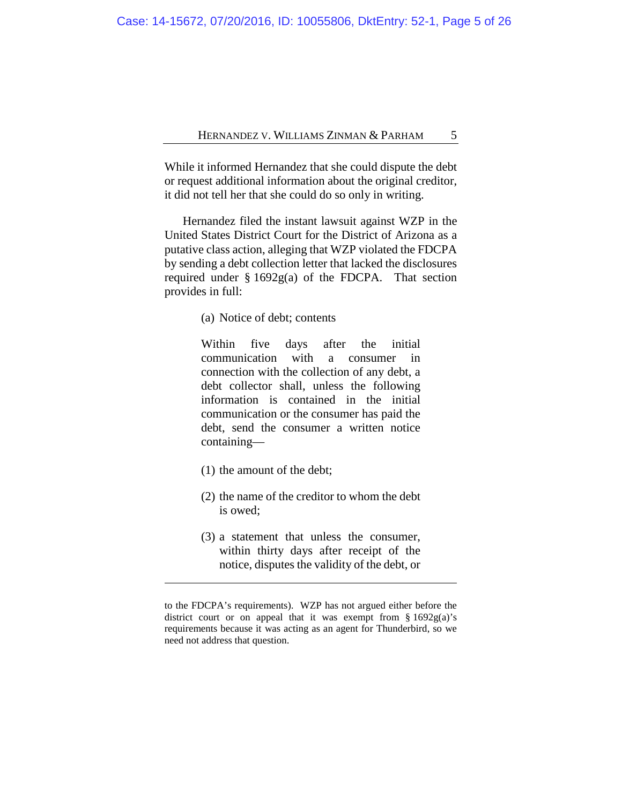While it informed Hernandez that she could dispute the debt or request additional information about the original creditor, it did not tell her that she could do so only in writing.

Hernandez filed the instant lawsuit against WZP in the United States District Court for the District of Arizona as a putative class action, alleging that WZP violated the FDCPA by sending a debt collection letter that lacked the disclosures required under  $\S 1692g(a)$  of the FDCPA. That section provides in full:

(a) Notice of debt; contents

Within five days after the initial communication with a consumer in connection with the collection of any debt, a debt collector shall, unless the following information is contained in the initial communication or the consumer has paid the debt, send the consumer a written notice containing—

(1) the amount of the debt;

- (2) the name of the creditor to whom the debt is owed;
- (3) a statement that unless the consumer, within thirty days after receipt of the notice, disputes the validity of the debt, or

to the FDCPA's requirements). WZP has not argued either before the district court or on appeal that it was exempt from  $\S 1692g(a)$ 's requirements because it was acting as an agent for Thunderbird, so we need not address that question.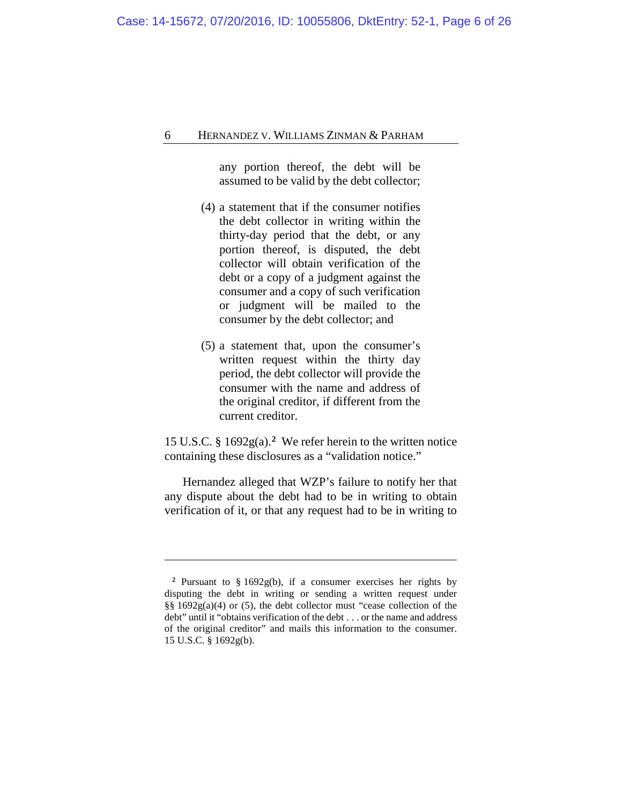any portion thereof, the debt will be assumed to be valid by the debt collector;

- (4) a statement that if the consumer notifies the debt collector in writing within the thirty-day period that the debt, or any portion thereof, is disputed, the debt collector will obtain verification of the debt or a copy of a judgment against the consumer and a copy of such verification or judgment will be mailed to the consumer by the debt collector; and
- (5) a statement that, upon the consumer's written request within the thirty day period, the debt collector will provide the consumer with the name and address of the original creditor, if different from the current creditor.

15 U.S.C. § 1692g(a).**[2](#page-5-0)**We refer herein to the written notice containing these disclosures as a "validation notice."

Hernandez alleged that WZP's failure to notify her that any dispute about the debt had to be in writing to obtain verification of it, or that any request had to be in writing to

<span id="page-5-0"></span>**<sup>2</sup>** Pursuant to § 1692g(b), if a consumer exercises her rights by disputing the debt in writing or sending a written request under §§ 1692g(a)(4) or (5), the debt collector must "cease collection of the debt" until it "obtains verification of the debt . . . or the name and address of the original creditor" and mails this information to the consumer. 15 U.S.C. § 1692g(b).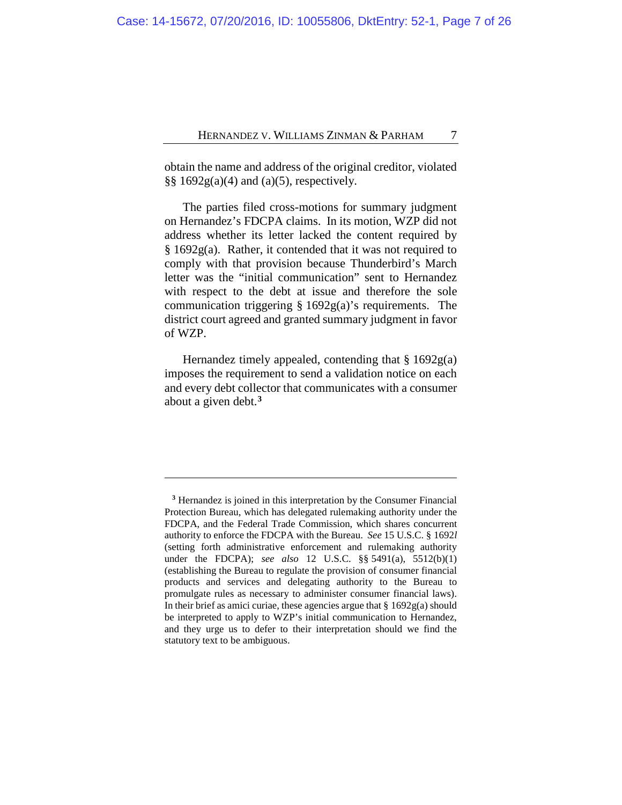obtain the name and address of the original creditor, violated §§  $1692g(a)(4)$  and (a)(5), respectively.

The parties filed cross-motions for summary judgment on Hernandez's FDCPA claims. In its motion, WZP did not address whether its letter lacked the content required by § 1692g(a). Rather, it contended that it was not required to comply with that provision because Thunderbird's March letter was the "initial communication" sent to Hernandez with respect to the debt at issue and therefore the sole communication triggering § 1692g(a)'s requirements. The district court agreed and granted summary judgment in favor of WZP.

Hernandez timely appealed, contending that  $\S 1692g(a)$ imposes the requirement to send a validation notice on each and every debt collector that communicates with a consumer about a given debt.**[3](#page-6-0)**

<span id="page-6-0"></span>**<sup>3</sup>** Hernandez is joined in this interpretation by the Consumer Financial Protection Bureau, which has delegated rulemaking authority under the FDCPA, and the Federal Trade Commission, which shares concurrent authority to enforce the FDCPA with the Bureau. *See* 15 U.S.C. § 1692*l*  (setting forth administrative enforcement and rulemaking authority under the FDCPA); *see also* 12 U.S.C. §§ 5491(a), 5512(b)(1) (establishing the Bureau to regulate the provision of consumer financial products and services and delegating authority to the Bureau to promulgate rules as necessary to administer consumer financial laws). In their brief as amici curiae, these agencies argue that  $\S 1692g(a)$  should be interpreted to apply to WZP's initial communication to Hernandez, and they urge us to defer to their interpretation should we find the statutory text to be ambiguous.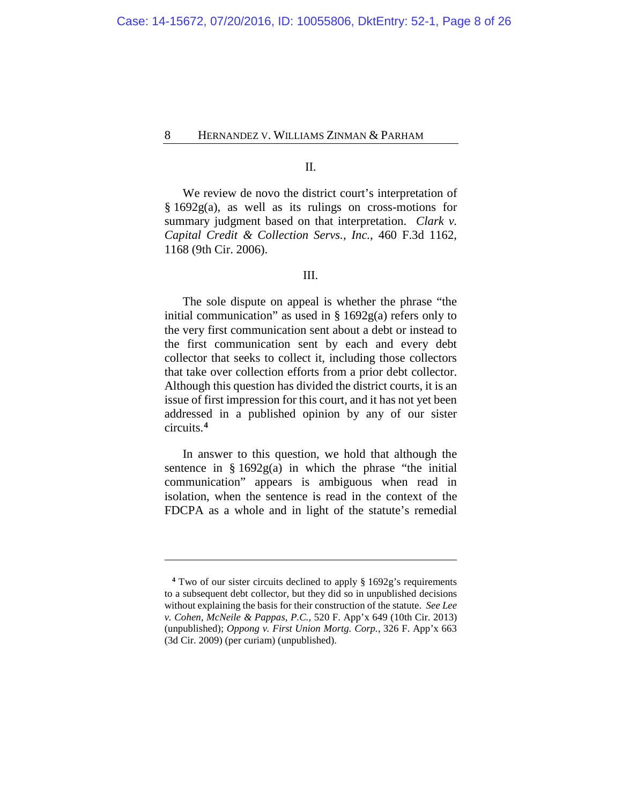II.

We review de novo the district court's interpretation of § 1692g(a), as well as its rulings on cross-motions for summary judgment based on that interpretation. *Clark v. Capital Credit & Collection Servs., Inc.*, 460 F.3d 1162, 1168 (9th Cir. 2006).

## III.

The sole dispute on appeal is whether the phrase "the initial communication" as used in § 1692g(a) refers only to the very first communication sent about a debt or instead to the first communication sent by each and every debt collector that seeks to collect it, including those collectors that take over collection efforts from a prior debt collector. Although this question has divided the district courts, it is an issue of first impression for this court, and it has not yet been addressed in a published opinion by any of our sister circuits.**[4](#page-7-0)**

In answer to this question, we hold that although the sentence in  $\S 1692g(a)$  in which the phrase "the initial communication" appears is ambiguous when read in isolation, when the sentence is read in the context of the FDCPA as a whole and in light of the statute's remedial

<span id="page-7-0"></span>**<sup>4</sup>** Two of our sister circuits declined to apply § 1692g's requirements to a subsequent debt collector, but they did so in unpublished decisions without explaining the basis for their construction of the statute. *See Lee v. Cohen, McNeile & Pappas, P.C.*, 520 F. App'x 649 (10th Cir. 2013) (unpublished); *Oppong v. First Union Mortg. Corp.*, 326 F. App'x 663 (3d Cir. 2009) (per curiam) (unpublished).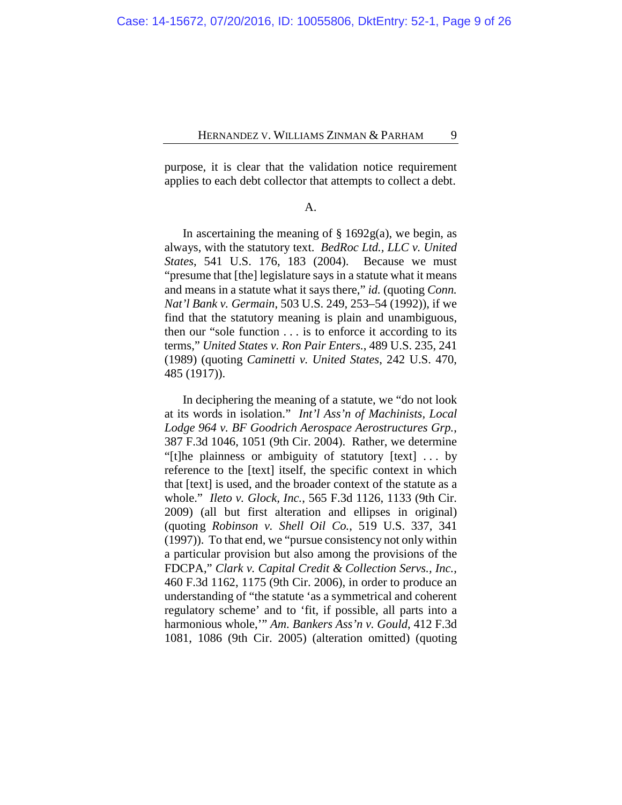purpose, it is clear that the validation notice requirement applies to each debt collector that attempts to collect a debt.

#### A.

In ascertaining the meaning of  $\S$  1692g(a), we begin, as always, with the statutory text. *BedRoc Ltd., LLC v. United States*, 541 U.S. 176, 183 (2004). Because we must "presume that [the] legislature says in a statute what it means and means in a statute what it says there," *id.* (quoting *Conn. Nat'l Bank v. Germain*, 503 U.S. 249, 253–54 (1992)), if we find that the statutory meaning is plain and unambiguous, then our "sole function . . . is to enforce it according to its terms," *United States v. Ron Pair Enters.*, 489 U.S. 235, 241 (1989) (quoting *Caminetti v. United States*, 242 U.S. 470, 485 (1917)).

In deciphering the meaning of a statute, we "do not look at its words in isolation." *Int'l Ass'n of Machinists, Local Lodge 964 v. BF Goodrich Aerospace Aerostructures Grp.*, 387 F.3d 1046, 1051 (9th Cir. 2004). Rather, we determine "[t]he plainness or ambiguity of statutory [text] . . . by reference to the [text] itself, the specific context in which that [text] is used, and the broader context of the statute as a whole." *Ileto v. Glock, Inc.*, 565 F.3d 1126, 1133 (9th Cir. 2009) (all but first alteration and ellipses in original) (quoting *Robinson v. Shell Oil Co.*, 519 U.S. 337, 341 (1997)). To that end, we "pursue consistency not only within a particular provision but also among the provisions of the FDCPA," *Clark v. Capital Credit & Collection Servs., Inc.*, 460 F.3d 1162, 1175 (9th Cir. 2006), in order to produce an understanding of "the statute 'as a symmetrical and coherent regulatory scheme' and to 'fit, if possible, all parts into a harmonious whole,'" *Am. Bankers Ass'n v. Gould*, 412 F.3d 1081, 1086 (9th Cir. 2005) (alteration omitted) (quoting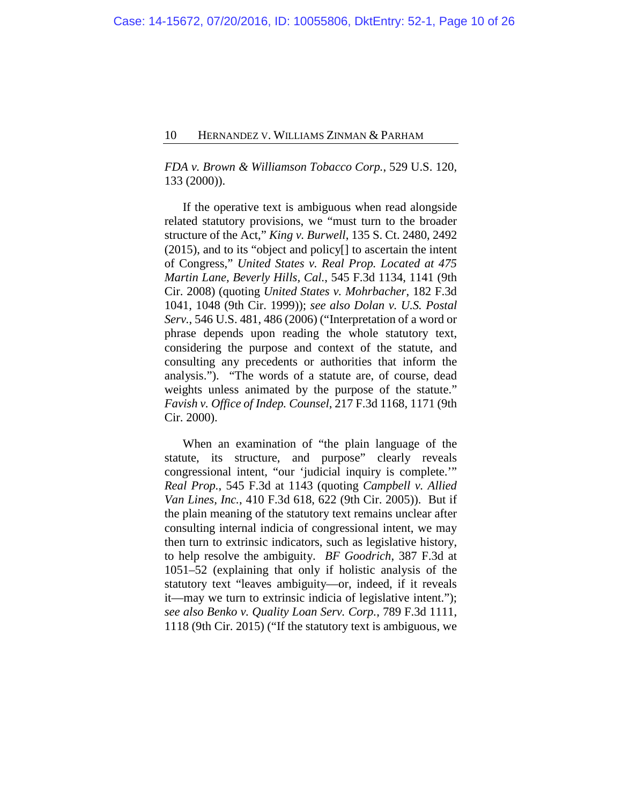*FDA v. Brown & Williamson Tobacco Corp.*, 529 U.S. 120, 133 (2000)).

If the operative text is ambiguous when read alongside related statutory provisions, we "must turn to the broader structure of the Act," *King v. Burwell*, 135 S. Ct. 2480, 2492 (2015), and to its "object and policy[] to ascertain the intent of Congress," *United States v. Real Prop. Located at 475 Martin Lane, Beverly Hills, Cal.*, 545 F.3d 1134, 1141 (9th Cir. 2008) (quoting *United States v. Mohrbacher*, 182 F.3d 1041, 1048 (9th Cir. 1999)); *see also Dolan v. U.S. Postal Serv.*, 546 U.S. 481, 486 (2006) ("Interpretation of a word or phrase depends upon reading the whole statutory text, considering the purpose and context of the statute, and consulting any precedents or authorities that inform the analysis."). "The words of a statute are, of course, dead weights unless animated by the purpose of the statute." *Favish v. Office of Indep. Counsel*, 217 F.3d 1168, 1171 (9th Cir. 2000).

When an examination of "the plain language of the statute, its structure, and purpose" clearly reveals congressional intent, "our 'judicial inquiry is complete.'" *Real Prop.*, 545 F.3d at 1143 (quoting *Campbell v. Allied Van Lines, Inc.*, 410 F.3d 618, 622 (9th Cir. 2005)). But if the plain meaning of the statutory text remains unclear after consulting internal indicia of congressional intent, we may then turn to extrinsic indicators, such as legislative history, to help resolve the ambiguity. *BF Goodrich*, 387 F.3d at 1051–52 (explaining that only if holistic analysis of the statutory text "leaves ambiguity—or, indeed, if it reveals it—may we turn to extrinsic indicia of legislative intent."); *see also Benko v. Quality Loan Serv. Corp.*, 789 F.3d 1111, 1118 (9th Cir. 2015) ("If the statutory text is ambiguous, we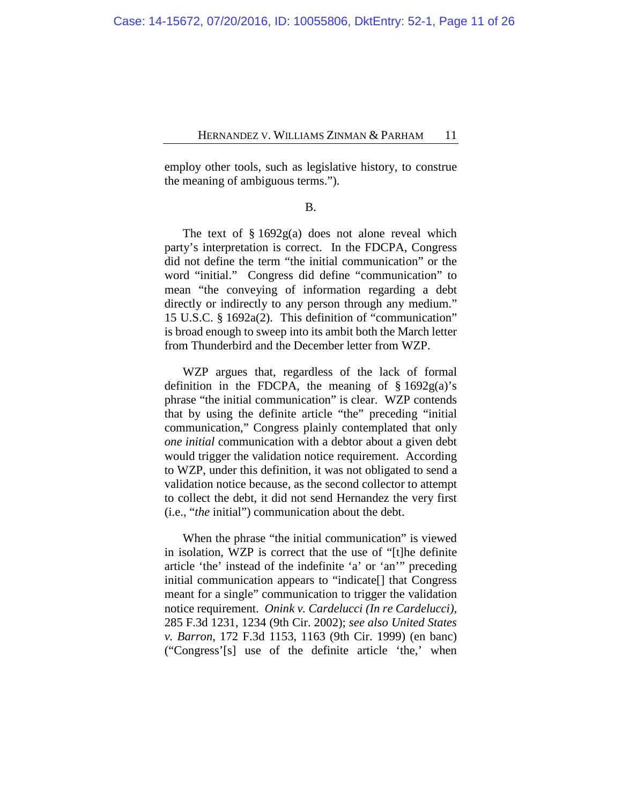employ other tools, such as legislative history, to construe the meaning of ambiguous terms.").

B.

The text of  $\S 1692g(a)$  does not alone reveal which party's interpretation is correct. In the FDCPA, Congress did not define the term "the initial communication" or the word "initial." Congress did define "communication" to mean "the conveying of information regarding a debt directly or indirectly to any person through any medium." 15 U.S.C. § 1692a(2). This definition of "communication" is broad enough to sweep into its ambit both the March letter from Thunderbird and the December letter from WZP.

WZP argues that, regardless of the lack of formal definition in the FDCPA, the meaning of  $\S 1692g(a)$ 's phrase "the initial communication" is clear. WZP contends that by using the definite article "the" preceding "initial communication," Congress plainly contemplated that only *one initial* communication with a debtor about a given debt would trigger the validation notice requirement. According to WZP, under this definition, it was not obligated to send a validation notice because, as the second collector to attempt to collect the debt, it did not send Hernandez the very first (i.e., "*the* initial") communication about the debt.

When the phrase "the initial communication" is viewed in isolation, WZP is correct that the use of "[t]he definite article 'the' instead of the indefinite 'a' or 'an'" preceding initial communication appears to "indicate[] that Congress meant for a single" communication to trigger the validation notice requirement. *Onink v. Cardelucci (In re Cardelucci)*, 285 F.3d 1231, 1234 (9th Cir. 2002); *see also United States v. Barron*, 172 F.3d 1153, 1163 (9th Cir. 1999) (en banc) ("Congress'[s] use of the definite article 'the,' when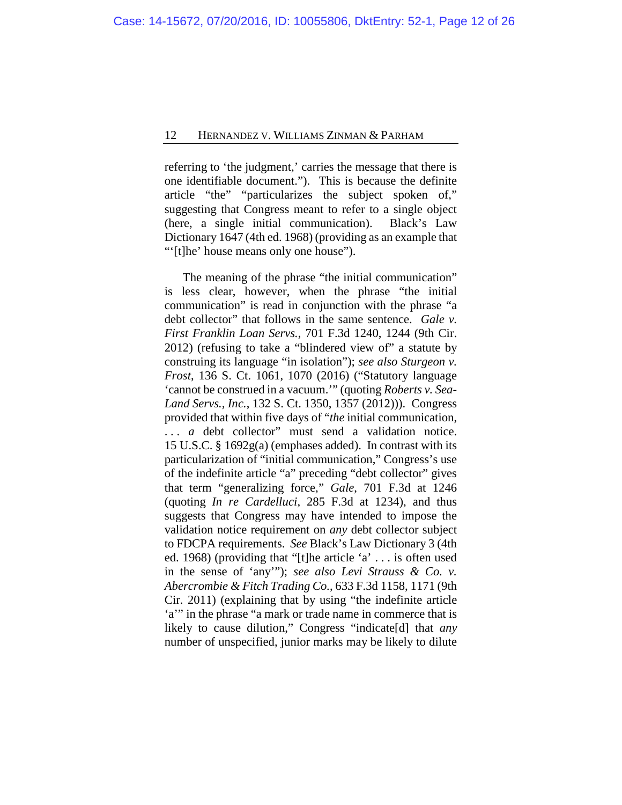referring to 'the judgment,' carries the message that there is one identifiable document."). This is because the definite article "the" "particularizes the subject spoken of," suggesting that Congress meant to refer to a single object (here, a single initial communication). Black's Law Dictionary 1647 (4th ed. 1968) (providing as an example that ""[t]he' house means only one house").

The meaning of the phrase "the initial communication" is less clear, however, when the phrase "the initial communication" is read in conjunction with the phrase "a debt collector" that follows in the same sentence. *Gale v. First Franklin Loan Servs.*, 701 F.3d 1240, 1244 (9th Cir. 2012) (refusing to take a "blindered view of" a statute by construing its language "in isolation"); *see also Sturgeon v. Frost*, 136 S. Ct. 1061, 1070 (2016) ("Statutory language 'cannot be construed in a vacuum.'" (quoting *Roberts v. Sea-Land Servs., Inc.*, 132 S. Ct. 1350, 1357 (2012))). Congress provided that within five days of "*the* initial communication, ... *a* debt collector" must send a validation notice. 15 U.S.C. § 1692g(a) (emphases added). In contrast with its particularization of "initial communication," Congress's use of the indefinite article "a" preceding "debt collector" gives that term "generalizing force," *Gale*, 701 F.3d at 1246 (quoting *In re Cardelluci*, 285 F.3d at 1234), and thus suggests that Congress may have intended to impose the validation notice requirement on *any* debt collector subject to FDCPA requirements. *See* Black's Law Dictionary 3 (4th ed. 1968) (providing that "[t]he article 'a' . . . is often used in the sense of 'any'"); *see also Levi Strauss & Co. v. Abercrombie & Fitch Trading Co.*, 633 F.3d 1158, 1171 (9th Cir. 2011) (explaining that by using "the indefinite article 'a'" in the phrase "a mark or trade name in commerce that is likely to cause dilution," Congress "indicate[d] that *any*  number of unspecified, junior marks may be likely to dilute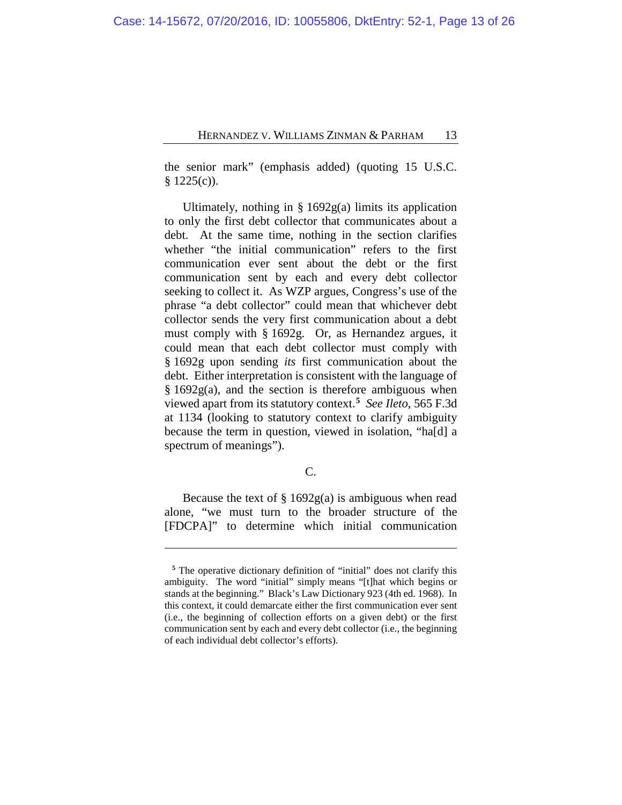the senior mark" (emphasis added) (quoting 15 U.S.C.  $§ 1225(c)$ .

Ultimately, nothing in  $\S 1692g(a)$  limits its application to only the first debt collector that communicates about a debt. At the same time, nothing in the section clarifies whether "the initial communication" refers to the first communication ever sent about the debt or the first communication sent by each and every debt collector seeking to collect it. As WZP argues, Congress's use of the phrase "a debt collector" could mean that whichever debt collector sends the very first communication about a debt must comply with § 1692g. Or, as Hernandez argues, it could mean that each debt collector must comply with § 1692g upon sending *its* first communication about the debt. Either interpretation is consistent with the language of § 1692g(a), and the section is therefore ambiguous when viewed apart from its statutory context.**[5](#page-12-0)** *See Ileto*, 565 F.3d at 1134 (looking to statutory context to clarify ambiguity because the term in question, viewed in isolation, "ha[d] a spectrum of meanings".

C.

Because the text of  $\S 1692g(a)$  is ambiguous when read alone, "we must turn to the broader structure of the [FDCPA]" to determine which initial communication

<span id="page-12-0"></span>**<sup>5</sup>** The operative dictionary definition of "initial" does not clarify this ambiguity. The word "initial" simply means "[t]hat which begins or stands at the beginning." Black's Law Dictionary 923 (4th ed. 1968). In this context, it could demarcate either the first communication ever sent (i.e., the beginning of collection efforts on a given debt) or the first communication sent by each and every debt collector (i.e., the beginning of each individual debt collector's efforts).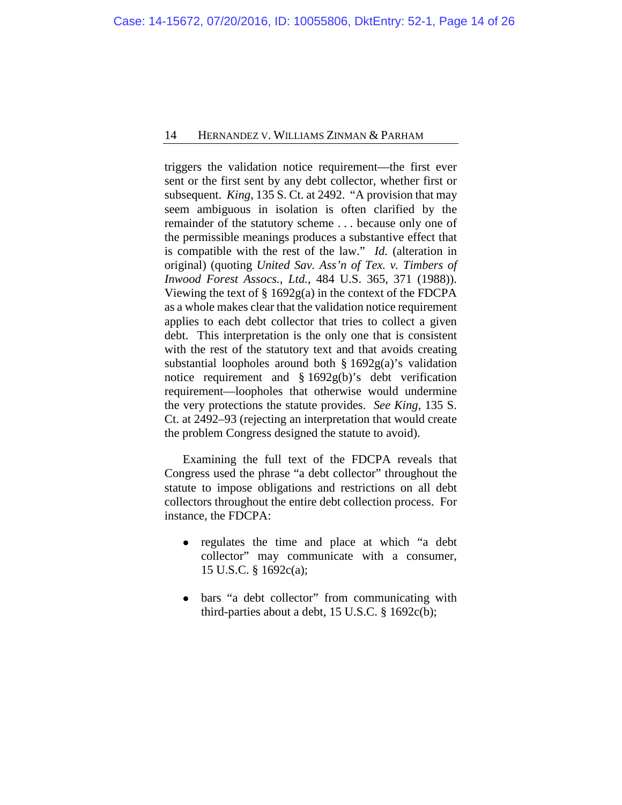triggers the validation notice requirement—the first ever sent or the first sent by any debt collector, whether first or subsequent. *King*, 135 S. Ct. at 2492. "A provision that may seem ambiguous in isolation is often clarified by the remainder of the statutory scheme . . . because only one of the permissible meanings produces a substantive effect that is compatible with the rest of the law." *Id.* (alteration in original) (quoting *United Sav. Ass'n of Tex. v. Timbers of Inwood Forest Assocs., Ltd.*, 484 U.S. 365, 371 (1988)). Viewing the text of § 1692g(a) in the context of the FDCPA as a whole makes clear that the validation notice requirement applies to each debt collector that tries to collect a given debt. This interpretation is the only one that is consistent with the rest of the statutory text and that avoids creating substantial loopholes around both § 1692g(a)'s validation notice requirement and § 1692g(b)'s debt verification requirement—loopholes that otherwise would undermine the very protections the statute provides. *See King*, 135 S. Ct. at 2492–93 (rejecting an interpretation that would create the problem Congress designed the statute to avoid).

Examining the full text of the FDCPA reveals that Congress used the phrase "a debt collector" throughout the statute to impose obligations and restrictions on all debt collectors throughout the entire debt collection process. For instance, the FDCPA:

- regulates the time and place at which "a debt collector" may communicate with a consumer, 15 U.S.C. § 1692c(a);
- bars "a debt collector" from communicating with third-parties about a debt,  $15$  U.S.C.  $\S$  1692c(b);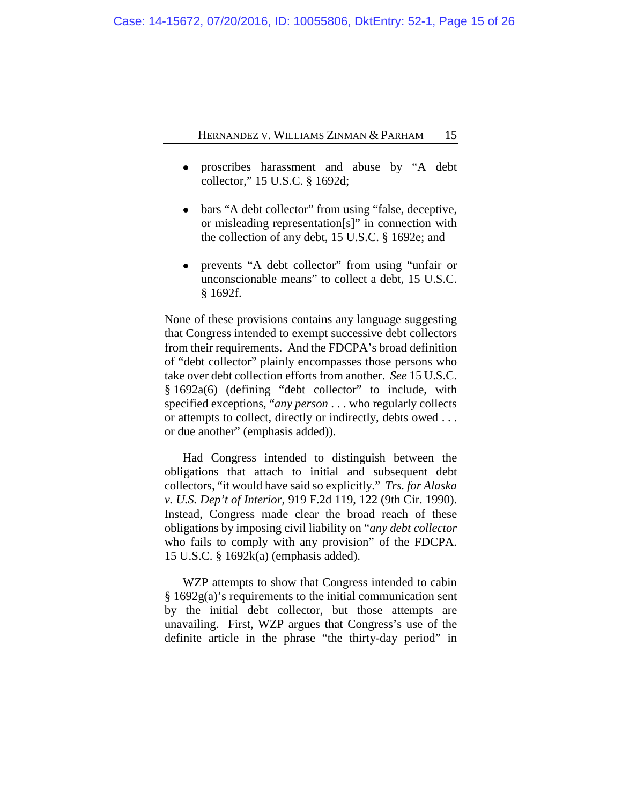- proscribes harassment and abuse by "A debt collector," 15 U.S.C. § 1692d;
- bars "A debt collector" from using "false, deceptive, or misleading representation[s]" in connection with the collection of any debt, 15 U.S.C. § 1692e; and
- prevents "A debt collector" from using "unfair or unconscionable means" to collect a debt, 15 U.S.C. § 1692f.

None of these provisions contains any language suggesting that Congress intended to exempt successive debt collectors from their requirements. And the FDCPA's broad definition of "debt collector" plainly encompasses those persons who take over debt collection efforts from another. *See* 15 U.S.C. § 1692a(6) (defining "debt collector" to include, with specified exceptions, "*any person* . . . who regularly collects or attempts to collect, directly or indirectly, debts owed . . . or due another" (emphasis added)).

Had Congress intended to distinguish between the obligations that attach to initial and subsequent debt collectors, "it would have said so explicitly." *Trs. for Alaska v. U.S. Dep't of Interior*, 919 F.2d 119, 122 (9th Cir. 1990). Instead, Congress made clear the broad reach of these obligations by imposing civil liability on "*any debt collector* who fails to comply with any provision" of the FDCPA. 15 U.S.C. § 1692k(a) (emphasis added).

WZP attempts to show that Congress intended to cabin § 1692g(a)'s requirements to the initial communication sent by the initial debt collector, but those attempts are unavailing. First, WZP argues that Congress's use of the definite article in the phrase "the thirty-day period" in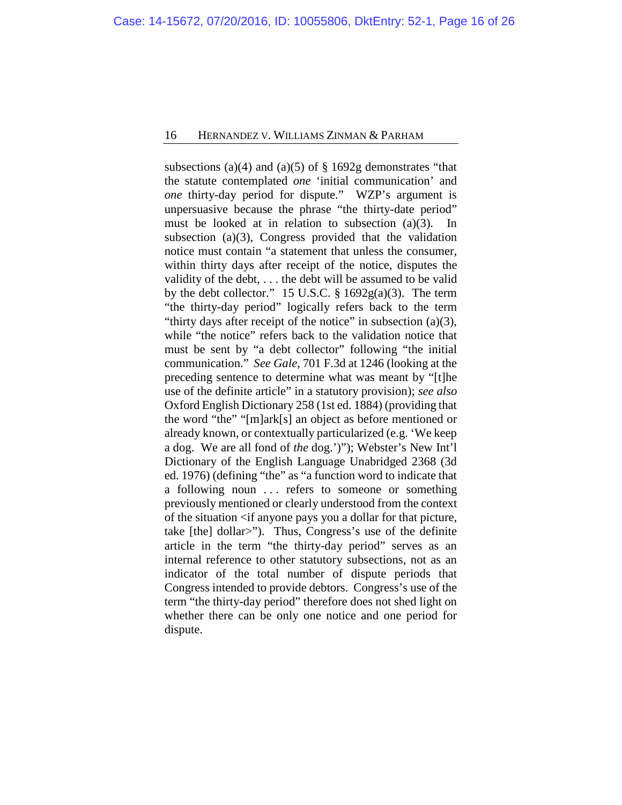subsections (a)(4) and (a)(5) of  $\S 1692g$  demonstrates "that the statute contemplated *one* 'initial communication' and *one* thirty-day period for dispute." WZP's argument is unpersuasive because the phrase "the thirty-date period" must be looked at in relation to subsection (a)(3). In subsection (a)(3), Congress provided that the validation notice must contain "a statement that unless the consumer, within thirty days after receipt of the notice, disputes the validity of the debt, . . . the debt will be assumed to be valid by the debt collector." 15 U.S.C.  $\S 1692g(a)(3)$ . The term "the thirty-day period" logically refers back to the term "thirty days after receipt of the notice" in subsection (a)(3), while "the notice" refers back to the validation notice that must be sent by "a debt collector" following "the initial communication." *See Gale*, 701 F.3d at 1246 (looking at the preceding sentence to determine what was meant by "[t]he use of the definite article" in a statutory provision); *see also*  Oxford English Dictionary 258 (1st ed. 1884) (providing that the word "the" "[m]ark[s] an object as before mentioned or already known, or contextually particularized (e.g. 'We keep a dog. We are all fond of *the* dog.')"); Webster's New Int'l Dictionary of the English Language Unabridged 2368 (3d ed. 1976) (defining "the" as "a function word to indicate that a following noun ... refers to someone or something previously mentioned or clearly understood from the context of the situation  $\langle$  if anyone pays you a dollar for that picture, take [the] dollar>"). Thus, Congress's use of the definite article in the term "the thirty-day period" serves as an internal reference to other statutory subsections, not as an indicator of the total number of dispute periods that Congress intended to provide debtors. Congress's use of the term "the thirty-day period" therefore does not shed light on whether there can be only one notice and one period for dispute.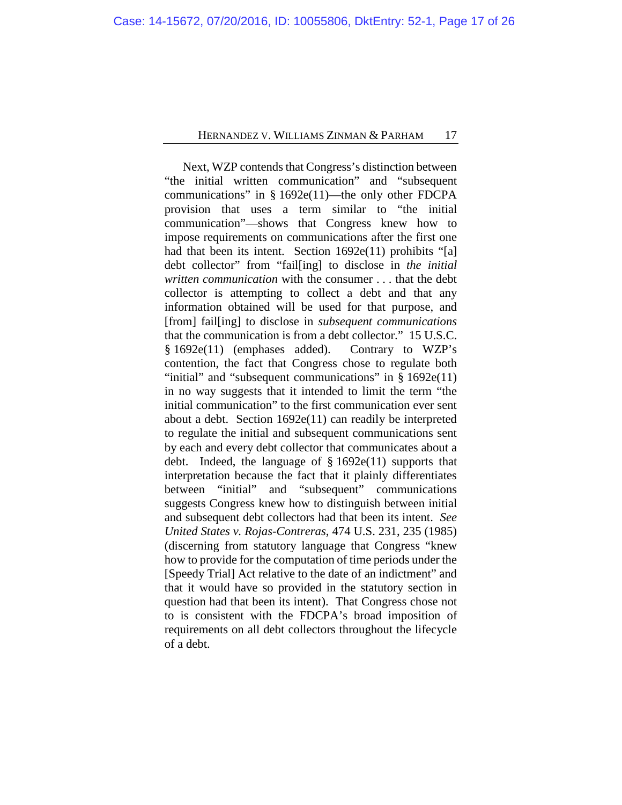Next, WZP contends that Congress's distinction between "the initial written communication" and "subsequent communications" in § 1692e(11)—the only other FDCPA provision that uses a term similar to "the initial communication"—shows that Congress knew how to impose requirements on communications after the first one had that been its intent. Section 1692e(11) prohibits "[a] debt collector" from "fail[ing] to disclose in *the initial written communication* with the consumer . . . that the debt collector is attempting to collect a debt and that any information obtained will be used for that purpose, and [from] fail[ing] to disclose in *subsequent communications*  that the communication is from a debt collector." 15 U.S.C. § 1692e(11) (emphases added). Contrary to WZP's contention, the fact that Congress chose to regulate both "initial" and "subsequent communications" in  $\S 1692e(11)$ in no way suggests that it intended to limit the term "the initial communication" to the first communication ever sent about a debt. Section 1692e(11) can readily be interpreted to regulate the initial and subsequent communications sent by each and every debt collector that communicates about a debt. Indeed, the language of  $§ 1692e(11)$  supports that interpretation because the fact that it plainly differentiates between "initial" and "subsequent" communications suggests Congress knew how to distinguish between initial and subsequent debt collectors had that been its intent. *See United States v. Rojas-Contreras*, 474 U.S. 231, 235 (1985) (discerning from statutory language that Congress "knew how to provide for the computation of time periods under the [Speedy Trial] Act relative to the date of an indictment" and that it would have so provided in the statutory section in question had that been its intent). That Congress chose not to is consistent with the FDCPA's broad imposition of requirements on all debt collectors throughout the lifecycle of a debt.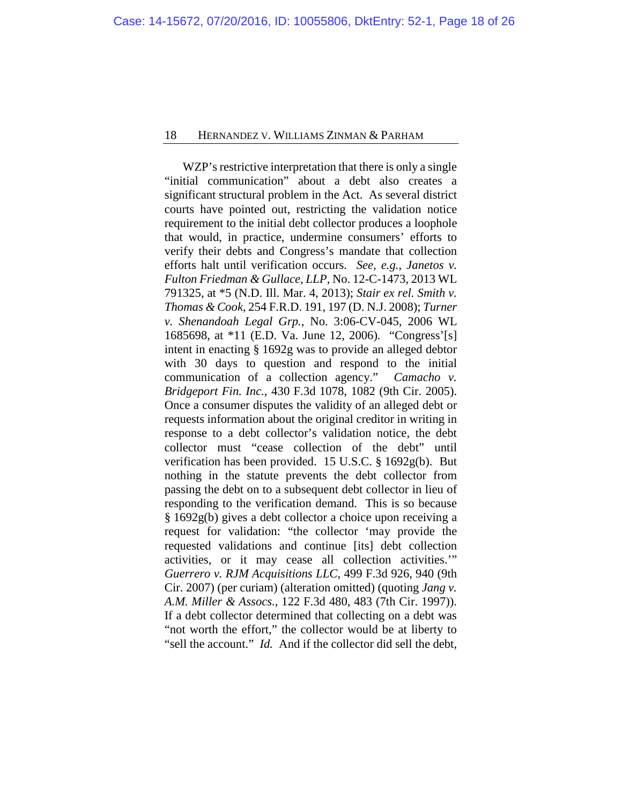WZP's restrictive interpretation that there is only a single "initial communication" about a debt also creates a significant structural problem in the Act. As several district courts have pointed out, restricting the validation notice requirement to the initial debt collector produces a loophole that would, in practice, undermine consumers' efforts to verify their debts and Congress's mandate that collection efforts halt until verification occurs. *See, e.g.*, *Janetos v. Fulton Friedman & Gullace, LLP*, No. 12-C-1473, 2013 WL 791325, at \*5 (N.D. Ill. Mar. 4, 2013); *Stair ex rel. Smith v. Thomas & Cook*, 254 F.R.D. 191, 197 (D. N.J. 2008); *Turner v. Shenandoah Legal Grp.*, No. 3:06-CV-045, 2006 WL 1685698, at \*11 (E.D. Va. June 12, 2006)*.* "Congress'[s] intent in enacting § 1692g was to provide an alleged debtor with 30 days to question and respond to the initial communication of a collection agency." *Camacho v. Bridgeport Fin. Inc.*, 430 F.3d 1078, 1082 (9th Cir. 2005). Once a consumer disputes the validity of an alleged debt or requests information about the original creditor in writing in response to a debt collector's validation notice, the debt collector must "cease collection of the debt" until verification has been provided. 15 U.S.C. § 1692g(b). But nothing in the statute prevents the debt collector from passing the debt on to a subsequent debt collector in lieu of responding to the verification demand. This is so because § 1692g(b) gives a debt collector a choice upon receiving a request for validation: "the collector 'may provide the requested validations and continue [its] debt collection activities, or it may cease all collection activities.'" *Guerrero v. RJM Acquisitions LLC*, 499 F.3d 926, 940 (9th Cir. 2007) (per curiam) (alteration omitted) (quoting *Jang v. A.M. Miller & Assocs.*, 122 F.3d 480, 483 (7th Cir. 1997)). If a debt collector determined that collecting on a debt was "not worth the effort," the collector would be at liberty to "sell the account." *Id.* And if the collector did sell the debt,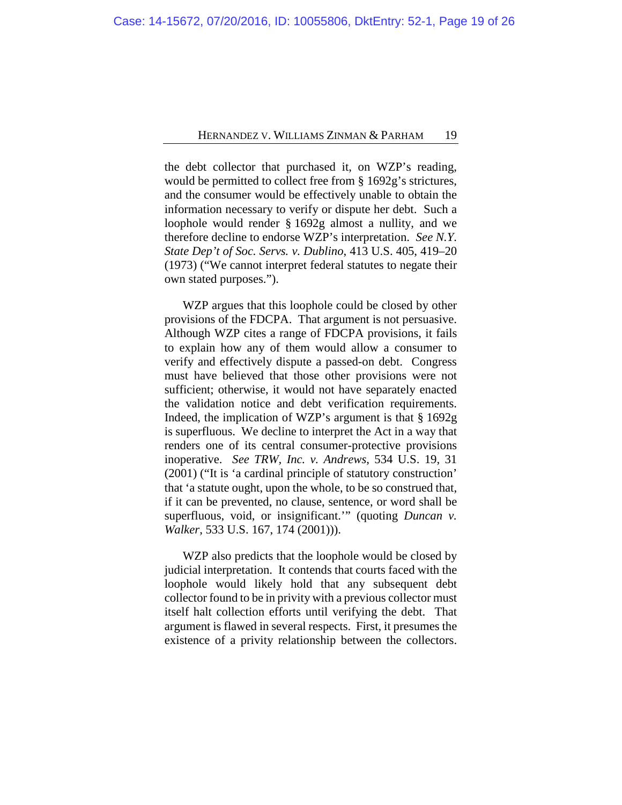the debt collector that purchased it, on WZP's reading, would be permitted to collect free from § 1692g's strictures, and the consumer would be effectively unable to obtain the information necessary to verify or dispute her debt. Such a loophole would render § 1692g almost a nullity, and we therefore decline to endorse WZP's interpretation. *See N.Y. State Dep't of Soc. Servs. v. Dublino*, 413 U.S. 405, 419–20 (1973) ("We cannot interpret federal statutes to negate their own stated purposes.").

WZP argues that this loophole could be closed by other provisions of the FDCPA. That argument is not persuasive. Although WZP cites a range of FDCPA provisions, it fails to explain how any of them would allow a consumer to verify and effectively dispute a passed-on debt. Congress must have believed that those other provisions were not sufficient; otherwise, it would not have separately enacted the validation notice and debt verification requirements. Indeed, the implication of WZP's argument is that § 1692g is superfluous. We decline to interpret the Act in a way that renders one of its central consumer-protective provisions inoperative. *See TRW, Inc. v. Andrews*, 534 U.S. 19, 31 (2001) ("It is 'a cardinal principle of statutory construction' that 'a statute ought, upon the whole, to be so construed that, if it can be prevented, no clause, sentence, or word shall be superfluous, void, or insignificant.'" (quoting *Duncan v. Walker*, 533 U.S. 167, 174 (2001))).

WZP also predicts that the loophole would be closed by judicial interpretation. It contends that courts faced with the loophole would likely hold that any subsequent debt collector found to be in privity with a previous collector must itself halt collection efforts until verifying the debt. That argument is flawed in several respects. First, it presumes the existence of a privity relationship between the collectors.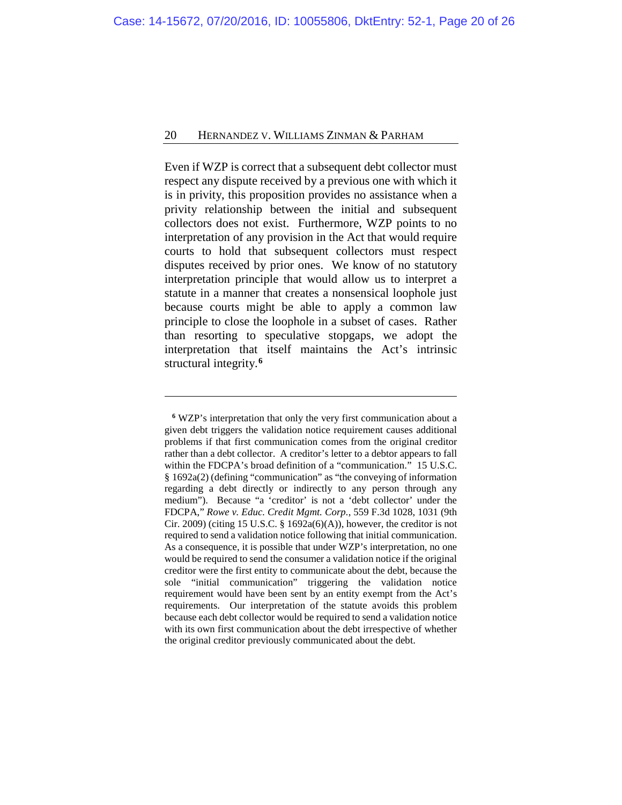Even if WZP is correct that a subsequent debt collector must respect any dispute received by a previous one with which it is in privity, this proposition provides no assistance when a privity relationship between the initial and subsequent collectors does not exist. Furthermore, WZP points to no interpretation of any provision in the Act that would require courts to hold that subsequent collectors must respect disputes received by prior ones. We know of no statutory interpretation principle that would allow us to interpret a statute in a manner that creates a nonsensical loophole just because courts might be able to apply a common law principle to close the loophole in a subset of cases. Rather than resorting to speculative stopgaps, we adopt the interpretation that itself maintains the Act's intrinsic structural integrity.**[6](#page-19-0)**

<span id="page-19-0"></span>**<sup>6</sup>** WZP's interpretation that only the very first communication about a given debt triggers the validation notice requirement causes additional problems if that first communication comes from the original creditor rather than a debt collector. A creditor's letter to a debtor appears to fall within the FDCPA's broad definition of a "communication." 15 U.S.C. § 1692a(2) (defining "communication" as "the conveying of information regarding a debt directly or indirectly to any person through any medium"). Because "a 'creditor' is not a 'debt collector' under the FDCPA," *Rowe v. Educ. Credit Mgmt. Corp.*, 559 F.3d 1028, 1031 (9th Cir. 2009) (citing 15 U.S.C. § 1692a(6)(A)), however, the creditor is not required to send a validation notice following that initial communication. As a consequence, it is possible that under WZP's interpretation, no one would be required to send the consumer a validation notice if the original creditor were the first entity to communicate about the debt, because the sole "initial communication" triggering the validation notice requirement would have been sent by an entity exempt from the Act's requirements. Our interpretation of the statute avoids this problem because each debt collector would be required to send a validation notice with its own first communication about the debt irrespective of whether the original creditor previously communicated about the debt.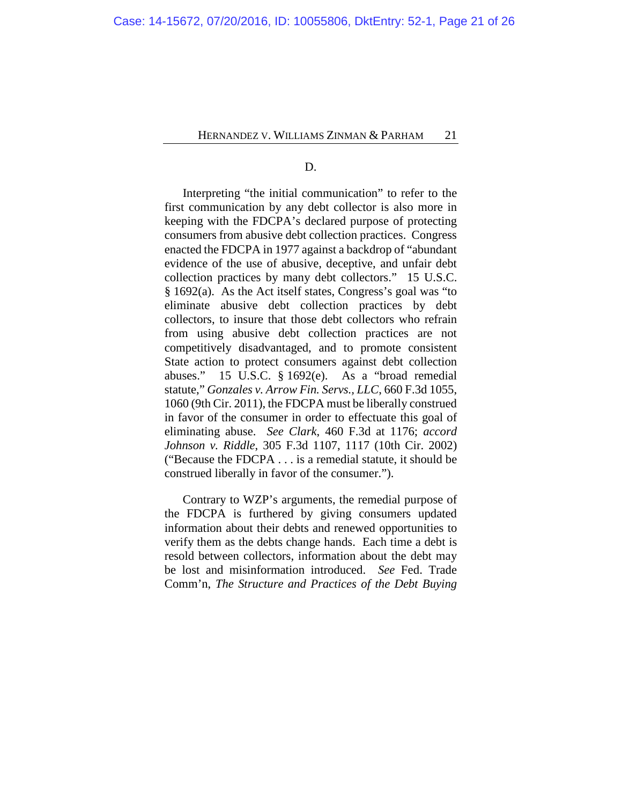D.

Interpreting "the initial communication" to refer to the first communication by any debt collector is also more in keeping with the FDCPA's declared purpose of protecting consumers from abusive debt collection practices. Congress enacted the FDCPA in 1977 against a backdrop of "abundant evidence of the use of abusive, deceptive, and unfair debt collection practices by many debt collectors." 15 U.S.C. § 1692(a). As the Act itself states, Congress's goal was "to eliminate abusive debt collection practices by debt collectors, to insure that those debt collectors who refrain from using abusive debt collection practices are not competitively disadvantaged, and to promote consistent State action to protect consumers against debt collection abuses." 15 U.S.C. § 1692(e). As a "broad remedial statute," *Gonzales v. Arrow Fin. Servs., LLC*, 660 F.3d 1055, 1060 (9th Cir. 2011), the FDCPA must be liberally construed in favor of the consumer in order to effectuate this goal of eliminating abuse. *See Clark*, 460 F.3d at 1176; *accord Johnson v. Riddle*, 305 F.3d 1107, 1117 (10th Cir. 2002) ("Because the FDCPA . . . is a remedial statute, it should be construed liberally in favor of the consumer.").

Contrary to WZP's arguments, the remedial purpose of the FDCPA is furthered by giving consumers updated information about their debts and renewed opportunities to verify them as the debts change hands. Each time a debt is resold between collectors, information about the debt may be lost and misinformation introduced. *See* Fed. Trade Comm'n, *The Structure and Practices of the Debt Buying*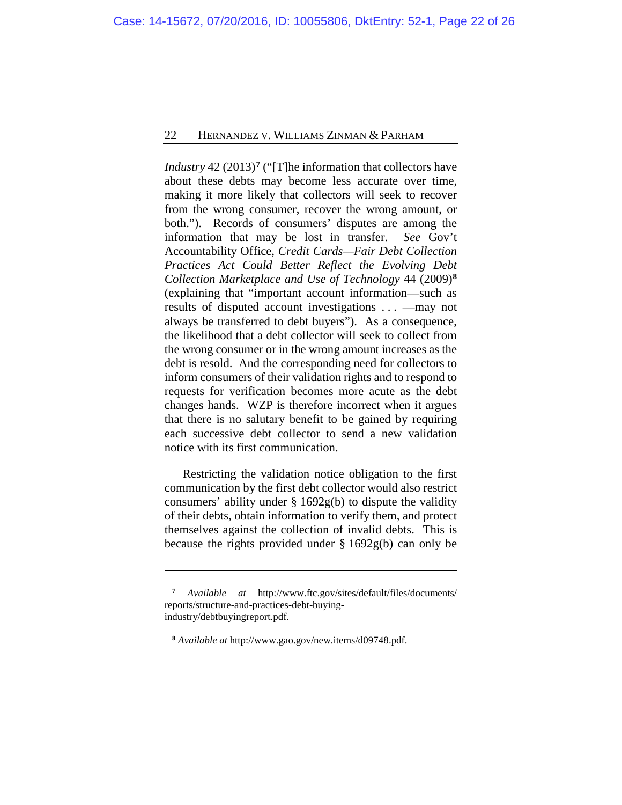*Industry* 42 (2013)**[7](#page-21-0)** ("[T]he information that collectors have about these debts may become less accurate over time, making it more likely that collectors will seek to recover from the wrong consumer, recover the wrong amount, or both."). Records of consumers' disputes are among the information that may be lost in transfer. *See* Gov't Accountability Office, *Credit Cards—Fair Debt Collection Practices Act Could Better Reflect the Evolving Debt Collection Marketplace and Use of Technology* 44 (2009)**[8](#page-21-1)** (explaining that "important account information—such as results of disputed account investigations . . . —may not always be transferred to debt buyers"). As a consequence, the likelihood that a debt collector will seek to collect from the wrong consumer or in the wrong amount increases as the debt is resold. And the corresponding need for collectors to inform consumers of their validation rights and to respond to requests for verification becomes more acute as the debt changes hands. WZP is therefore incorrect when it argues that there is no salutary benefit to be gained by requiring each successive debt collector to send a new validation notice with its first communication.

Restricting the validation notice obligation to the first communication by the first debt collector would also restrict consumers' ability under § 1692g(b) to dispute the validity of their debts, obtain information to verify them, and protect themselves against the collection of invalid debts. This is because the rights provided under § 1692g(b) can only be

**<sup>7</sup>** *Available at* http://www.ftc.gov/sites/default/files/documents/ reports/structure-and-practices-debt-buyingindustry/debtbuyingreport.pdf.

<span id="page-21-1"></span><span id="page-21-0"></span>**<sup>8</sup>** *Available at* http://www.gao.gov/new.items/d09748.pdf.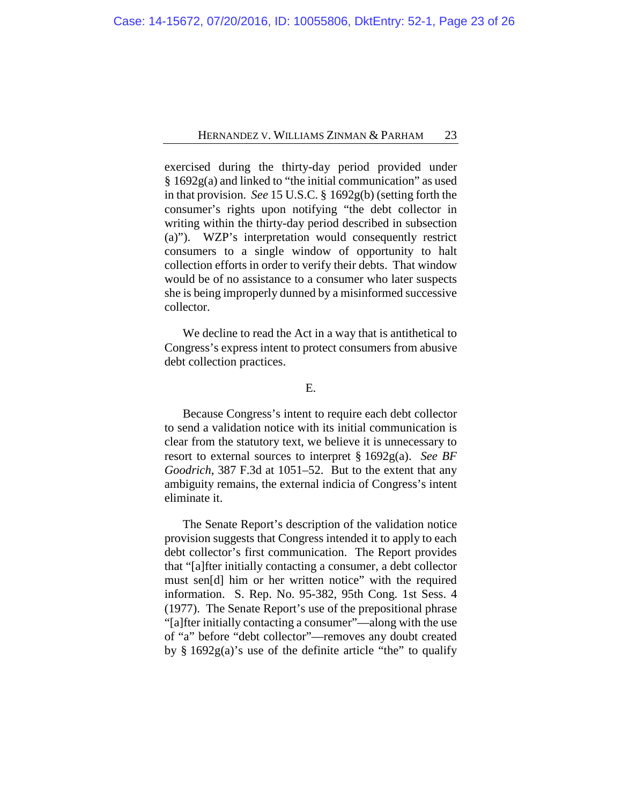exercised during the thirty-day period provided under § 1692g(a) and linked to "the initial communication" as used in that provision. *See* 15 U.S.C. § 1692g(b) (setting forth the consumer's rights upon notifying "the debt collector in writing within the thirty-day period described in subsection (a)"). WZP's interpretation would consequently restrict consumers to a single window of opportunity to halt collection efforts in order to verify their debts. That window would be of no assistance to a consumer who later suspects she is being improperly dunned by a misinformed successive collector.

We decline to read the Act in a way that is antithetical to Congress's express intent to protect consumers from abusive debt collection practices.

## E.

Because Congress's intent to require each debt collector to send a validation notice with its initial communication is clear from the statutory text, we believe it is unnecessary to resort to external sources to interpret § 1692g(a). *See BF Goodrich*, 387 F.3d at 1051–52. But to the extent that any ambiguity remains, the external indicia of Congress's intent eliminate it.

The Senate Report's description of the validation notice provision suggests that Congress intended it to apply to each debt collector's first communication. The Report provides that "[a]fter initially contacting a consumer, a debt collector must sen[d] him or her written notice" with the required information. S. Rep. No. 95-382, 95th Cong. 1st Sess. 4 (1977). The Senate Report's use of the prepositional phrase "[a]fter initially contacting a consumer"—along with the use of "a" before "debt collector"—removes any doubt created by  $\S$  1692g(a)'s use of the definite article "the" to qualify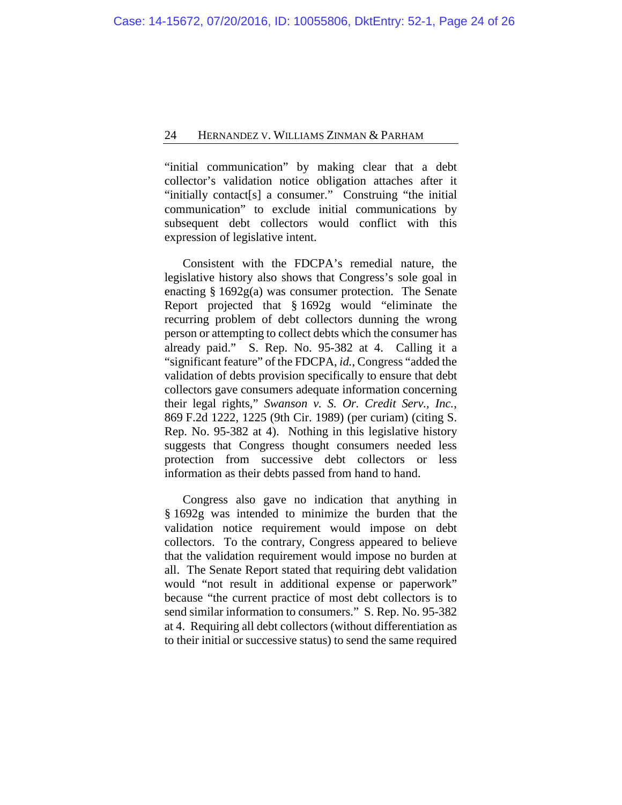"initial communication" by making clear that a debt collector's validation notice obligation attaches after it "initially contact[s] a consumer." Construing "the initial communication" to exclude initial communications by subsequent debt collectors would conflict with this expression of legislative intent.

Consistent with the FDCPA's remedial nature, the legislative history also shows that Congress's sole goal in enacting § 1692g(a) was consumer protection. The Senate Report projected that § 1692g would "eliminate the recurring problem of debt collectors dunning the wrong person or attempting to collect debts which the consumer has already paid." S. Rep. No. 95-382 at 4. Calling it a "significant feature" of the FDCPA, *id.*, Congress "added the validation of debts provision specifically to ensure that debt collectors gave consumers adequate information concerning their legal rights," *Swanson v. S. Or. Credit Serv., Inc.*, 869 F.2d 1222, 1225 (9th Cir. 1989) (per curiam) (citing S. Rep. No. 95-382 at 4). Nothing in this legislative history suggests that Congress thought consumers needed less protection from successive debt collectors or less information as their debts passed from hand to hand.

Congress also gave no indication that anything in § 1692g was intended to minimize the burden that the validation notice requirement would impose on debt collectors. To the contrary, Congress appeared to believe that the validation requirement would impose no burden at all. The Senate Report stated that requiring debt validation would "not result in additional expense or paperwork" because "the current practice of most debt collectors is to send similar information to consumers." S. Rep. No. 95-382 at 4. Requiring all debt collectors (without differentiation as to their initial or successive status) to send the same required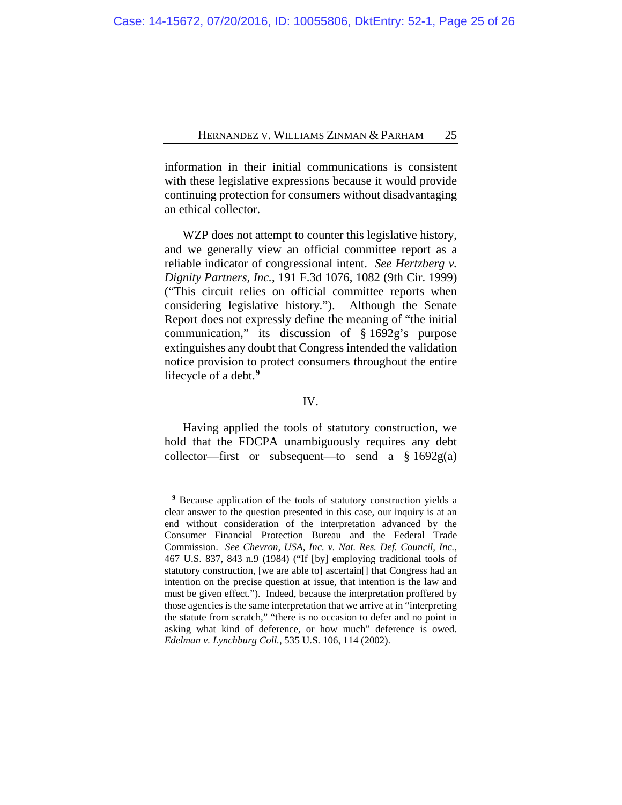information in their initial communications is consistent with these legislative expressions because it would provide continuing protection for consumers without disadvantaging an ethical collector.

WZP does not attempt to counter this legislative history, and we generally view an official committee report as a reliable indicator of congressional intent. *See Hertzberg v. Dignity Partners, Inc.*, 191 F.3d 1076, 1082 (9th Cir. 1999) ("This circuit relies on official committee reports when considering legislative history."). Although the Senate Report does not expressly define the meaning of "the initial communication," its discussion of § 1692g's purpose extinguishes any doubt that Congress intended the validation notice provision to protect consumers throughout the entire lifecycle of a debt.**[9](#page-24-0)**

#### IV.

Having applied the tools of statutory construction, we hold that the FDCPA unambiguously requires any debt collector—first or subsequent—to send a  $§ 1692g(a)$ 

<span id="page-24-0"></span>**<sup>9</sup>** Because application of the tools of statutory construction yields a clear answer to the question presented in this case, our inquiry is at an end without consideration of the interpretation advanced by the Consumer Financial Protection Bureau and the Federal Trade Commission. *See Chevron, USA, Inc. v. Nat. Res. Def. Council, Inc.*, 467 U.S. 837, 843 n.9 (1984) ("If [by] employing traditional tools of statutory construction, [we are able to] ascertain[] that Congress had an intention on the precise question at issue, that intention is the law and must be given effect."). Indeed, because the interpretation proffered by those agencies is the same interpretation that we arrive at in "interpreting the statute from scratch," "there is no occasion to defer and no point in asking what kind of deference, or how much" deference is owed. *Edelman v. Lynchburg Coll.*, 535 U.S. 106, 114 (2002).